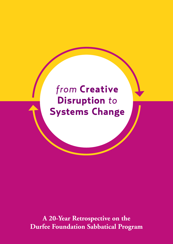# *from* **Creative Disruption** *to*  **Systems Change**

**A 20-Year Retrospective on the Durfee Foundation Sabbatical Program**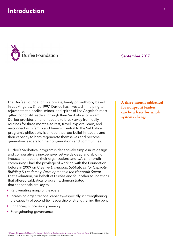

September 2017

The Durfee Foundation is a private, family philanthropy based in Los Angeles. Since 1997, Durfee has invested in helping to rejuvenate the bodies, minds, and spirits of Los Angeles's most gifted nonprofit leaders through their Sabbatical program. Durfee provides time for leaders to break away from daily routines for three months—to rest, travel, explore, learn, and re-connect with family and friends. Central to the Sabbatical program's philosophy is an openhearted belief in leaders and their capacity to both regenerate themselves and become generative leaders for their organizations and communities.

Durfee's Sabbatical program is deceptively simple in its design and comparatively inexpensive, yet yields deep and abiding impacts for leaders, their organizations and L.A.'s nonprofit community. I had the privilege of working with the Foundation before in 2009 on *Creative Disruption: Sabbaticals for Capacity Building & Leadership Development in the Nonprofit Sector*. 1 That evaluation, on behalf of Durfee and four other foundations that offered sabbatical programs, demonstrated that sabbaticals are key to:

- Rejuvenating nonprofit leaders
- Increasing organizational capacity—especially in strengthening the capacity of second-tier leadership or strengthening the bench
- Enhancing succession planning
- Strengthening governance

**A three-month sabbatical for nonprofit leaders can be a lever for whole systems change.**

```
1 Creative Disruption: Sabbaticals for Capacity Building & Leadership Development in the Nonprofit Sector, Deborah Linnell & Tim 
Wolfred. Third Sector New England and CompassPoint Nonprofit Services (2009)
```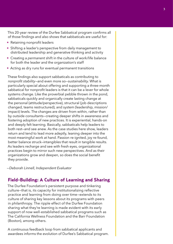This 20-year review of the Durfee Sabbatical program confirms all of those findings and also shows that sabbaticals are useful for:

- Retaining nonprofit leaders
- Shifting a leader's perspective from daily management to distributed leadership and generative thinking and activity
- Creating a *permanent* shift in the culture of work/life balance for both the leader and the organization's staff
- Acting as dry runs for eventual permanent transitions

These findings also support sabbaticals as contributing to *nonprofit stability*—and even more so—*sustainability*. What is particularly special about offering and supporting a three-month sabbatical for nonprofit leaders is that it can be a lever for whole systems change. Like the proverbial pebble thrown in the pond, sabbaticals quickly and organically create lasting change at the personal (attitude/perspective), structural (job descriptions changed, teams restructured), and system (leadership, mission/ impact) levels. The changes are driven from within, rather than by outside consultants—creating deeper shifts in awareness and fostering adoption of new practices. It is experiential, hands-on and deeply felt learning. Basically, sabbaticals help leaders to both rest—and see anew. As the case studies here show, leaders return and tend to lead more adeptly, leaning deeper into the most meaningful work at hand. Passion re-ignited, joy re-found, better balance struck—intangibles that result in tangible results. As leaders recharge and see with fresh eyes, organizational practices begin to mirror such new perspectives. And as their organizations grow and deepen, so does the social benefit they provide.

*—Deborah Linnell, Independent Evaluator*

#### **Field-Building: A Culture of Learning and Sharing**

The Durfee Foundation's persistent purpose and tinkering culture—that is, its capacity for institutionalizing reflective practice and learning from doing over time—extends to its culture of sharing key lessons about its programs with peers in philanthropy. The ripple effect of the Durfee Foundation sharing what they're learning is made evident with its early support of now well-established sabbatical programs such as The California Wellness Foundation and the Barr Foundation (Boston), among others.

A continuous feedback loop from sabbatical applicants and awardees informs the evolution of Durfee's Sabbatical program.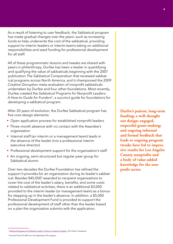As a result of listening to user feedback, the Sabbatical program has made gradual changes over the years—such as increasing funds to help underwrite the cost of the sabbatical, providing support to interim leaders or interim teams taking on additional responsibilities and seed funding for professional development for all staff.

All of these programmatic lessons and tweaks are shared with peers in philanthropy. Durfee has been a leader in quantifying and qualifying the value of sabbaticals beginning with the 2007 publication *The Sabbatical Compendium* that reviewed sabbatical programs across North America, and it championed the 2009 *Creative Disruption* meta-evaluation of nonprofit sabbaticals undertaken by Durfee and four other foundations. Most recently, Durfee created the *Sabbatical Programs for Nonprofit Leaders: A How-to Guide for Funders*2, a succinct guide for foundations for developing a sabbatical program.

After 20 years of evolution, the Durfee Sabbatical program has five core design elements:

- Open application process for established nonprofit leaders
- Three-month absence with no contact with the Awardee's organization
- Internal staff (an interim or a management team) leads in the absence of the leader (not a professional interim executive director)
- Professional development support for the organization's staff
- An ongoing, semi-structured but regular peer group for Sabbatical alumni

Over two decades the Durfee Foundation has refined the support it provides for an organization during its leader's sabbatical. Besides \$45,0003 awarded to recipient organizations to cover the cost of the leader's salary, benefits, and some costs related to sabbatical activities, there is an additional \$3,000 provided to the interim leader (or management team) as a bonus for stepping up in the leader's absence. In addition, a \$5,000 Professional Development Fund is provided to support the professional development of staff other than the leader based on a plan the organization submits with the application.

**Durfee's patient, long-term funding; a well-thought out design; engaged, respectful grant-making; and ongoing informal and formal feedback that leads to ongoing program tweaks have led to impressive results for Los Angeles County nonprofits and a body of value-added knowledge for the nonprofit sector.**

<sup>3</sup> Increased from \$25,000 since the beginning of the program.

<sup>&</sup>lt;sup>2</sup> [Sabbatical Programs for Nonprofit Leaders: A How-to Guide for Funders](https://durfee.org/durfee-content/uploads/2016/06/Sabb-How-to-Guide-2016.pdf), The Durfee Foundation.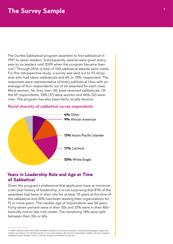## **The Survey Sample**

The Durfee Sabbatical program awarded its first sabbatical in 1997 to seven leaders. Subsequently, awards were given every year to six leaders until 2009 when the program became biennial.4 Through 2016, a total of 100 sabbatical awards were made. For this retrospective study, a survey was sent out to 93 recipients who had taken sabbaticals and 69, or 74%, responded. The responses were representative of every sabbatical class with an average of four respondents out of six awarded for each class. More women, 56, than men, 46, have received sabbaticals. Of the 69 respondents, 54% (37) were women and 46% (32) were men. The program has also been fairly racially diverse:

#### *Racial diversity of sabbatical survey respondents*



## **Years in Leadership Role and Age at Time of Sabbatical**

Given the program's preference that applicants have at minimum a ten-year history of leadership, it is not surprising that 81% of the awardees had been in their role for at least 10 years at the time of the sabbatical and 20% had been leading their organizations for 15 or more years. The median age of respondents was 50 years. Forty-seven percent were in their 50s and 35% were in their 40s basically mid to late-mid career. The remaining 18% were split between their 30s or 60s.

<sup>4</sup> In 2009, staff and board of the Durfee Foundation decided to move from an annual to a biennial awards program. Application numbers were between 25 and 40 for the first 12 years and continue at this level on a biennial basis. Durfee's selection committee, including 3 former Awardees, screens 12 finalists and selects 6 Awardees for each class.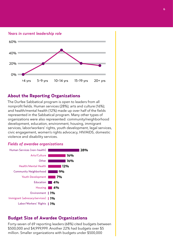*Years in current leadership role*



### **About the Reporting Organizations**

The Durfee Sabbatical program is open to leaders from all nonprofit fields. Human services (28%); arts and culture (16%); and health/mental health (12%) made up over half of the fields represented in the Sabbatical program. Many other types of organizations were also represented: community/neighborhood development, education, environment, housing, immigrant services, labor/workers' rights, youth development, legal services, civic engagement, women's rights advocacy, HIV/AIDS, domestic violence and disability services.

#### *Fields of awardee organizations*



### **Budget Size of Awardee Organizations**

Forty-seven of 69 reporting leaders (68%) cited budgets between \$500,000 and \$4,999,999. Another 22% had budgets over \$5 million. Smaller organizations with budgets under \$500,000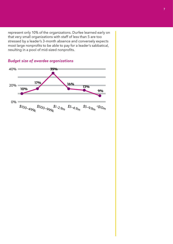represent only 10% of the organizations. Durfee learned early on that very small organizations with staff of less than 5 are too stressed by a leader's 3-month absence and conversely expects most large nonprofits to be able to pay for a leader's sabbatical, resulting in a pool of mid-sized nonprofits.



## *Budget size of awardee organizations*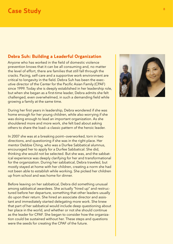## **Case Study**

## **Debra Suh: Building a Leaderful Organization**

Anyone who has worked in the field of domestic violence prevention knows that it can be all consuming and, no matter the level of effort, there are families that still fall through the cracks. Pacing, self-care and a supportive work environment are critical to longevity in the field. Debra Suh has been the executive director of the Center for the Pacific Asian Family (CPAF) since 1999. Today she is deeply established in her leadership role, but when she began as a first-time leader, Debra admits she felt challenged, even overwhelmed, in such a demanding field while growing a family at the same time.

During her first years in leadership, Debra wondered if she was home enough for her young children, while also worrying if she was doing enough to lead an important organization. As she shouldered more and more work, she felt bad about asking others to share the load—a classic pattern of the heroic leader.

In 2007 she was at a breaking point—overworked, torn in two directions, and questioning if she was in the right place. Her mentor Debbie Ching, who was a Durfee Sabbatical alumnus, encouraged her to apply for a Durfee Sabbatical. She did, thinking she would not be selected. But she was, and the sabbatical experience was deeply clarifying for her and transformational for the organization. During her sabbatical, Debra traveled, but mostly stayed at home with her children, creating a norm she had not been able to establish while working. She picked her children up from school and was home for dinner.

Before leaving on her sabbatical, Debra did something unusual among sabbatical awardees. She actually "hired up" and restructured before her departure, something that other leaders usually do upon their return. She hired an associate director and assistant and immediately started delegating more work. She knew that part of her sabbatical would include deep questioning about her place in the world, and whether or not she should continue as the leader for CPAF. She began to consider how the organization could be sustained without her. These steps and questions were the seeds for creating the CPAF of the future.

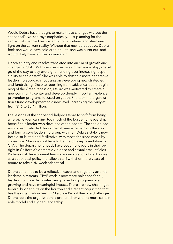Would Debra have thought to make these changes without the sabbatical? No, she says emphatically. Just planning for the sabbatical changed her organization's routines and shed new light on the current reality. Without that new perspective, Debra feels she would have soldiered on until she was burnt out, and would likely have left the organization.

Debra's clarity and resolve translated into an era of growth and change for CPAF. With new perspective on her leadership, she let go of the day-to-day oversight, handing over increasing responsibility to senior staff. She was able to shift to a more generative leadership approach, focusing on developing new strategies and fundraising. Despite returning from sabbatical at the beginning of the Great Recession, Debra was motivated to create a new community center and develop deeply important violence prevention programs focused on youth. She took the organization's fund development to a new level, increasing the budget from \$1.6 to \$3.4 million.

The lessons of the sabbatical helped Debra to shift from being a heroic leader, carrying too much of the burden of leadership herself, to a leader who develops other leaders. The senior leadership team, who led during her absence, remains to this day and form a core leadership group with her. Debra's style is now both distributed and facilitative, with most decisions made by consensus. She does not have to be the only representative for CPAF. The department heads have become leaders in their own right in California's domestic violence and sexual assault fields. Professional development funds are available for all staff, as well as a sabbatical policy that allows staff with 5 or more years of tenure to take a six-week sabbatical.

Debra continues to be a reflective leader and regularly attends leadership retreats. CPAF work is now more balanced for all, leadership more distributed and prevention programs are growing and have meaningful impact. There are new challenges federal budget cuts on the horizon and a recent acquisition that has the organization feeling "disrupted"—but they are challenges Debra feels the organization is prepared for with its more sustainable model and aligned leadership.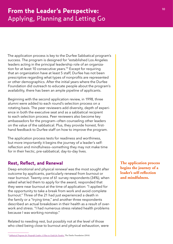The application process is key to the Durfee Sabbatical program's success. The program is designed for "established Los Angeles leaders acting in the principal leadership role of an organization for at least 10 consecutive years."5 Except for requiring that an organization have at least 5 staff, Durfee has not been prescriptive regarding what types of nonprofits are represented or other demographics. After the initial years where the Durfee Foundation did outreach to educate people about the program's availability, there has been an ample pipeline of applicants.

Beginning with the second application review, in 1998, three alumni were added to each round's selection process on a rotating basis. The peer reviewers add diversity, depth of experience in both the executive seat and as a sabbatical recipient to each selection process. Peer reviewers also become key ambassadors for the program—often counseling other leaders on the value of the sabbatical. Plus, they provide honest, firsthand feedback to Durfee staff on how to improve the program.

The application process tests for readiness and worthiness, but more importantly it begins the journey of a leader's selfreflection and mindfulness—something they may not make time for in their hectic, pre-sabbatical, day-to-day lives.

## **Rest, Reflect, and Renewal**

Deep emotional and physical *renewal* was the most sought after outcome by applicants, particularly renewal from burnout or near burnout. Twenty-one of 61 survey respondents (34%), when asked what led them to apply for the award, responded that they were near burnout at the time of application: "I applied for the opportunity to take a break from work and avoid complete burnout." Three of the 21 had just experienced a death in the family or a "trying time," and another three respondents described an actual breakdown in their health as a result of overwork and stress. "I had numerous stress related health problems because I was working nonstop."

Related to needing rest, but possibly not at the level of those who cited being close to burnout and physical exhaustion, were **The application process begins the journey of a leader's self-reflection and mindfulness.**

<sup>5</sup> *[Sabbatical Programs for Nonprofit Leaders: A How-to Guide for Funders,](https://durfee.org/durfee-content/uploads/2016/06/Sabb-How-to-Guide-2016.pdf)* The Durfee Foundation (2016)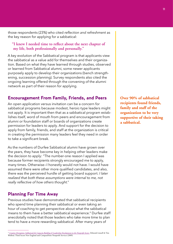those respondents (23%) who cited *reflection and refreshment* as the key reason for applying for a sabbatical:

#### **"I knew I needed time to reflect about the next chapter of my life, both professionally and personally."**

A key evolution of the Sabbatical program is that applicants view the sabbatical as a value add for themselves and their organization. Based on what they have learned through studies, observed or learned from Sabbatical alumni, some newer applicants purposely apply to develop their organizations (bench strengthening, succession planning). Survey respondents also cited the ongoing learning offered through the convening of the alumni network as part of their reason for applying.

### **Encouragement From Family, Friends, and Peers**

An open application versus invitation can be a concern for sabbatical programs because modest, heroic-type leaders might not apply. It is important then that as a sabbatical program establishes itself, word of mouth from peers and encouragement from alumni or foundation staff or boards of organizations create permission for leaders to apply. And support for the decision to apply from family, friends, and staff at the organization is critical in creating the permission many leaders feel they need in order to take a significant break.

As the numbers of Durfee Sabbatical alumni have grown over the years, they have become key in helping other leaders make the decision to apply: "The number-one reason I applied was because former recipients strongly encouraged me to apply, many times. Otherwise—I honestly would not have. I would have assumed there were other more qualified candidates, and also, there was the perceived hurdle of getting board support. *I later realized that both these assumptions were internal to me, not really reflective of how others thought.*"

### **Planning For Time Away**

Previous studies have demonstrated that sabbatical recipients who spend time planning their sabbatical or even taking an hour of coaching to get perspective about what the sabbatical means to them have a better sabbatical experience.<sup>6</sup> Durfee staff anecdotally noted that those leaders who take more time to plan tend to have a more rewarding sabbatical. After many years of

**Over 90% of sabbatical recipients found friends, family and staff of the organization to be very supportive of their taking a sabbatical.**

<sup>6</sup> *[Creative Disruption: Sabbaticals for Capacity Building & Leadership Development in the Nonprofit Sector,](https://durfee.org/durfee-content/uploads/2016/06/Creative-Disruption-Sabbatical-Monograph.pdf)* Deborah Linnell & Tim Wolfred. Third Sector New England and CompassPoint Nonprofit Services (2009)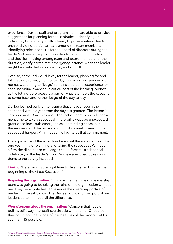experience, Durfee staff and program alumni are able to provide suggestions for planning for the sabbatical—identifying an individual, but more typically a team, to provide interim leadership; dividing particular tasks among the team members; identifying roles and tasks for the board of directors during the leader's absence; helping to create clarity of communication and decision-making among team and board members for the duration; clarifying the rare emergency instance when the leader might be contacted on sabbatical, and so forth.

Even so, at the individual level, for the leader, planning for and taking the leap away from one's day-to-day work experience is not easy. Learning to "let go" remains a personal experience for each individual awardee—a critical part of the learning journey as the letting go process is a part of what later fuels the capacity to come back and further let go of the day-to-day.

Durfee learned early on to require that a leader begin their sabbatical within a year from the day it is granted. The lesson is captured in its *How-to Guide,* "The fact is, there is no truly convenient time to take a sabbatical—there will always be unexpected grant deadlines, staff emergencies and funding crises, but the recipient and the organization must commit to making the sabbatical happen. A firm deadline facilitates that commitment."7

The experience of the awardees bears out the importance of the one-year limit for planning and taking the sabbatical. Without a firm deadline, these challenges could forestall a sabbatical indefinitely in the leader's mind. Some issues cited by respondents to the survey included:

**Timing:** "Determining the right time to disengage. This was the beginning of the Great Recession."

**Preparing the organization:** "This was the first time our leadership team was going to be taking the reins of the organization without me. They were quite hesitant even as they were supportive of me taking the sabbatical. The Durfee Foundation support of our leadership team made all the difference."

**Worry/concern about the organization:** "Concern that I couldn't pull myself away, that staff couldn't do without me! Of course they could and that's (one of the) beauties of the program—EDs see that it IS possible."

<sup>7</sup> *[Creative Disruption: Sabbaticals for Capacity Building & Leadership Development in the Nonprofit Sector,](https://durfee.org/durfee-content/uploads/2016/06/Creative-Disruption-Sabbatical-Monograph.pdf)* Deborah Linnell & Tim Wolfred. Third Sector New England and CompassPoint Nonprofit Services (2009)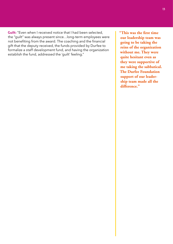**Guilt:** "Even when I received notice that I had been selected, the "guilt" was always present since…long-term employees were not benefiting from the award. The coaching and the financial gift that the deputy received, the funds provided by Durfee to formalize a staff development fund, and having the organization establish the fund, addressed the 'guilt' feeling."

**"This was the first time our leadership team was going to be taking the reins of the organization without me. They were quite hesitant even as they were supportive of me taking the sabbatical. The Durfee Foundation support of our leadership team made all the difference."**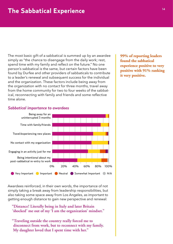The most basic gift of a sabbatical is summed up by an awardee simply as "the chance to disengage from the daily work; rest, spend time with my family and reflect on the future." No one person's sabbatical is the same, but certain factors have been found by Durfee and other providers of sabbaticals to contribute to a leader's renewal and subsequent success for the individual and the organization. These factors include being away from the organization with no contact for three months, travel away from the home community for two to four weeks of the sabbatical, reconnecting with family and friends and some reflective time alone.

**99% of reporting leaders found the sabbatical experience positive to very positive with 91% ranking it very positive.**

#### *Sabbatical importance to awardees*



Awardees reinforced, in their own words, the importance of not simply taking a break away from leadership responsibilities, but also taking some space away from Los Angeles, as important to getting enough distance to gain new perspective and renewal: also takil

> **"Distance! Literally being in Italy and later Britain 'shocked' me out of my 'I am the organization' mindset."**

"Traveling outside the country really forced me to **disconnect from work, but to reconnect with my family. My daughter loved that I spent time with her."**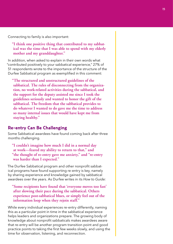Connecting to family is also important:

**"I think one positive thing that contributed to my sabbatical was the time that I was able to spend with my elderly mother and my granddaughter."**

In addition, when asked to explain in their own words what "contributed positively to your sabbatical experience," 27% of 51 respondents wrote to the importance of the structure of the Durfee Sabbatical program as exemplified in this comment:

**"The structured and unstructured guidelines of the sabbatical. The rules of disconnecting from the organization, no work-related activities during the sabbatical, and the support for the deputy assisted me since I took the guidelines seriously and wanted to honor the gift of the sabbatical. The freedom that the sabbatical provides to do whatever I wanted to do gave me the time to address so many internal issues that would have kept me from staying healthy."** 

#### **Re-entry Can Be Challenging**

Some Sabbatical awardees have found coming back after three months challenging.

**"I couldn't imagine how much I did in a normal day at work—feared my ability to return to that," and "the thought of re-entry gave me anxiety," and "re-entry was harder than I expected."**

The Durfee Sabbatical program and other nonprofit sabbatical programs have found supporting re-entry is key, namely by sharing experience and knowledge gained by sabbatical awardees over the years. As Durfee writes in its *How to Guide:*

**"Some recipients have found that 'everyone moves too fast' after slowing their pace during the sabbatical. Others experience post-sabbatical blues, or simply feel out of the information loop when they rejoin staff."** 

While every individual experiences re-entry differently, naming this as a particular point in time in the sabbatical experience helps leaders and organizations prepare. The growing body of knowledge about nonprofit sabbaticals makes awardees aware that re-entry will be another program transition point and good practice points to taking the first few weeks slowly, and using the time for observation, listening, and reconnection.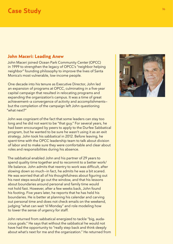## **Case Study**

## **John Maceri: Leading Anew**

John Maceri joined Ocean Park Community Center (OPCC) in 1999 to strengthen the legacy of OPCC's "neighbor helping neighbor" founding philosophy to improve the lives of Santa Monica's most vulnerable, low-income people.

One decade into his tenure as Executive Director, John led an expansion of programs at OPCC, culminating in a five-year capital campaign that resulted in relocating programs and expanding the organization's campus. It was a time of great achievement—a convergence of activity and accomplishments but the completion of the campaign left John questioning "what next?"

John was cognizant of the fact that some leaders can stay too long and he did not want to be "that guy." For several years, he had been encouraged by peers to apply to the Durfee Sabbatical program, but he wanted to be sure he wasn't using it as an exit strategy. John took his sabbatical in 2012. Before leaving, he spent time with the OPCC leadership team to talk about division of labor and to make sure they were comfortable and clear about roles and responsibilities during his absence.

The sabbatical enabled John and his partner of 29 years to spend quality time together and to recommit to a better work/ life balance. John admits that reentry to work was difficult, after slowing down so much—in fact, he admits he was a bit scared. He was worried that all of his thoughtfulness about figuring out his next steps would go out the window, and that his lessons about boundaries around personal and family time would not hold fast. However, after a few weeks back, John found his footing. Five years later, he reports that he has held his boundaries. He is better at planning his calendar and carving out personal time and does not check emails on the weekend, judging "what can wait 'til Monday" and role modeling how to lower the sense of urgency for staff.

John returned from sabbatical energized to tackle "big, audacious goals." He says that without the sabbatical he would not have had the opportunity to "really step back and think deeply about what's next for me and the organization." He returned from

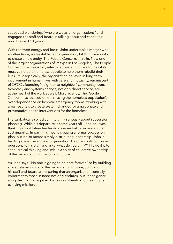sabbatical wondering, "who are we as an organization?" and engaged the staff and board in talking about and conceptualizing the next 10 years.

With renewed energy and focus, John undertook a merger with another large, well-established organization, LAMP Community, to create a new entity, The People Concern, in 2016. Now one of the largest organizations of its type in Los Angeles, The People Concern provides a fully integrated system of care to the city's most vulnerable homeless people to help them rebuild their lives. Philosophically, the organization believes in long-term involvement in human lives with care and mutuality, reminiscent of OPCC's founding "neighbor to neighbor" community roots. Advocacy and systems change, not only direct service, are at the heart of the work as well. Most recently, The People Concern has focused on decreasing the homeless population's over-dependence on hospital emergency rooms, working with area hospitals to create system changes for appropriate and preventative health interventions for the homeless.

The sabbatical also led John to think seriously about succession planning. While his departure is some years off, John believes thinking about future leadership is essential to organizational sustainability. In part, this means creating a formal succession plan, but it also means simply distributing leadership. John is leading a less hierarchical organization. He often puts out broad questions to his staff and asks "what do you think?" His goal is to spark critical thinking and imbue a spirit of collective ownership of the organization's mission and future.

As John says, "No one is going to be here forever," so by building shared stewardship for the organization's future, John and his staff and board are ensuring that an organization centrally important to those in need not only endures, but keeps generating the change required by its constituents and meeting its evolving mission.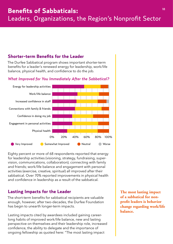## **Shorter-term Benefits for the Leader**

The Durfee Sabbatical program shows important shorter-term benefits for a leader's renewed energy for leadership, work/life balance, physical health, and confidence to do the job.

### *What Improved for You Immediately After the Sabbatical?*



Eighty percent or more of 68 respondents reported that energy for leadership activities (visioning, strategy, fundraising, supervision, communications, collaboration); connecting with family and friends; work/life balance and engagement with personal activities (exercise, creative, spiritual) all improved after their sabbatical. Over 70% reported improvements in physical health and confidence in leadership as a result of the sabbatical.

## **Lasting Impacts for the Leader**

The short-term benefits for sabbatical recipients are valuable enough, however, after two-decades, the Durfee Foundation has begin to unearth longer-term impacts.

Lasting impacts cited by awardees included gaining careerlong habits of improved work/life balance, new and lasting perspective on themselves and their leadership role, increased confidence, the ability to delegate and the importance of ongoing fellowship as quoted here: "The most lasting impact

**The most lasting impact of a sabbatical for nonprofit leaders is behavior change regarding work/life balance.**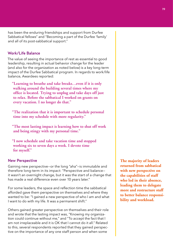has been the enduring friendships and support from Durfee Sabbatical fellows" and "Becoming a part of the Durfee 'family' and all of its post-sabbatical support."

#### Work/Life Balance

The value of seeing the importance of rest as essential to good leadership, resulting in actual behavior change for the leader (and also for the organization as noted below) is a key long-term impact of the Durfee Sabbatical program. In regards to work/life balance, Awardees reported:

**"Learning to breathe and take breaks…even if it is only walking around the building several times where my office is located. Trying to unplug and take days off just to relax. Before the sabbatical I worked on grants on every vacation. I no longer do that."** 

**"The realization that it is important to schedule personal time into my schedule with more regularity."**

**"The most lasting impact is learning how to shut off work and being stingy with my personal time."**

**"I now schedule and take vacation time and stopped working six to seven days a week. I devote time for myself."**

#### New Perspective

Gaining new perspective—or the long "aha"—is immutable and therefore long-term in its impact: "Perspective and balance it wasn't an overnight change, but it was the start of a change that has made a real difference even over 10 years later."

For some leaders, the space and reflection time the sabbatical afforded gave them perspective on themselves and where they wanted to be: "I gained a new perspective of who I am and what I want to do with my life. It was a permanent shift."

Others gained greater perspective on themselves and their role and wrote that the lasting impact was, "Knowing my organization could continue without me," and "To accept the fact that I am not irreplaceable and it is OK that I cannot do it all." Related to this, several respondents reported that they gained perspective on the importance of any one staff person and when some

**The majority of leaders returned from sabbatical with new perspective on the capabilities of staff who led in their absence, leading them to delegate more and restructure staff to better balance responsibility and workload.**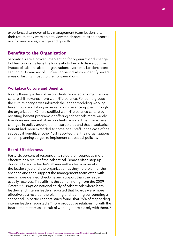experienced turnover of key management team leaders after their return, they were able to view the departure as an opportunity for new voices, change and growth.

## **Benefits to the Organization**

Sabbaticals are a proven intervention for organizational change, but few programs have the longevity to begin to tease out the impact of sabbaticals on organizations over time. Leaders representing a 20-year arc of Durfee Sabbatical alumni identify several areas of lasting impact to their organizations:

#### Workplace Culture and Benefits

Nearly three-quarters of respondents reported an organizational culture shift towards more work/life balance. For some groups the culture change was informal: the leader modeling working fewer hours and taking more vacations balance rippled through the organization. Others codified work/life balance culture by revisiting benefit programs or offering sabbaticals more widely. Twenty-seven percent of respondents reported that there were changes in policy around benefit structures and that a sabbatical benefit had been extended to some or all staff. In the case of the sabbatical benefit, another 15% reported that their organizations were in planning stages to implement sabbatical policies.

#### Board Effectiveness

Forty-six percent of respondents rated their boards as more effective as a result of the sabbatical. Boards often step up during a time of a leader's absence—they learn more about the leader's job and the organization as they help plan for the absence and then support the management team often with much more defined check-ins and support than the leader usually receives. This affirms the same finding from the 2009 *Creative Disruption* national study of sabbaticals where both leaders and interim leaders reported that boards were more effective as a result of the planning and learning surrounding a sabbatical. In particular, that study found that 75% of responding interim leaders reported a "more productive relationship with the board of directors as a result of working more closely with them."8

<sup>8</sup> [Creative Disruption: Sabbaticals for Capacity Building & Leadership Development in the Nonprofit Sector,](https://durfee.org/durfee-content/uploads/2016/06/Creative-Disruption-Sabbatical-Monograph.pdf) Deborah Linnell & Tim Wolfred. Third Sector New England and CompassPoint Nonprofit Services (2009)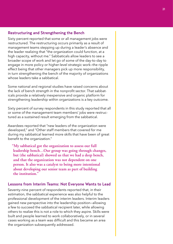#### Restructuring and Strengthening the Bench

Sixty percent reported that some or all management jobs were restructured. The restructuring occurs primarily as a result of management teams stepping up during a leader's absence and the leader realizing that "the organization could function, at a high capacity, without me." Sabbaticals allow leaders to see a broader scope of work and let go of some of the day-to-day to engage in more policy or higher-level strategic work—the ripple effect being that other managers pick up more responsibility, in turn strengthening the bench of the majority of organizations whose leaders take a sabbatical.

Some national and regional studies have raised concerns about the lack of bench strength in the nonprofit sector. That sabbaticals provide a relatively inexpensive and organic platform for strengthening leadership within organizations is a key outcome.

Sixty percent of survey respondents in this study reported that all or some of the management team members' jobs were restructured as a sustained result emerging from the sabbatical.

Awardees reported that "new leaders of the organization were developed," and "Other staff members that covered for me during my sabbatical learned more skills that have been of great benefit to the organization."

**"My sabbatical got the organization to assess our full leadership bench…Our group was going through changes, but (the sabbatical) showed us that we had a deep bench, and that the organization was not dependent on one person. It also was a catalyst to being more intentional about developing our senior team as part of building the institution."**

#### Lessons from Interim Teams: Not Everyone Wants to Lead

Seventy-nine percent of respondents reported that, in their estimation, the sabbatical experience was also helpful to the professional development of the interim leaders. Interim leaders gained new perspective into the leadership position—allowing a few to succeed the sabbatical recipient later, while allowing others to realize this is not a role to which they aspire. Skills were built and people learned to work collaboratively, or in several cases working as a team was difficult and this became an area the organization subsequently addressed.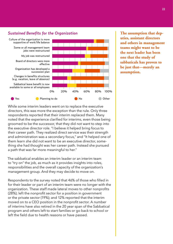#### *Sustained Benefits for the Organization*



**The assumption that deputies, assistant directors and others in management teams might want to be the next leader has been one that the study of sabbaticals has proven to be just that—merely an assumption.**

While some interim leaders went on to replace the executive directors, this was more the exception than the rule. Only three respondents reported that their interim replaced them. Many noted that the experience clarified for interims, even those being groomed to be the successor, that they did not want to step into the executive director role. "I believe it helped bring focus to their career path. They realized direct service was their strength and administration was a secondary focus," and "It helped one of them learn she did not want to be an executive director, something she had thought was her career path. Instead she pursued a path that was far more meaningful to her."

The sabbatical enables an interim leader or an interim team to "try on" the job, as much as it provides insights into roles, responsibilities and the overall capacity of the organization's management group. And they may decide to move on.

Respondents to the survey noted that 46% of those who filled in for their leader or part of an interim team were no longer with the organization. These staff made lateral moves to other nonprofits (28%); left the nonprofit sector for a position in government or the private sector (19%); and 12% reported that the interim moved on to a CEO position in the nonprofit sector. A number of interims have also retired in the 20 year span of the Sabbatical program and others left to start families or go back to school or left the field due to health reasons or have passed.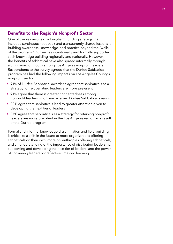### **Benefits to the Region's Nonprofit Sector**

One of the key results of a long-term funding strategy that includes continuous feedback and transparently shared lessons is building awareness, knowledge, and practice beyond the "walls of the program." Durfee has intentionally and formally supported such knowledge building regionally and nationally. However, the benefits of sabbatical have also spread informally through alumni word of mouth among Los Angeles nonprofit leaders. Respondents to the survey agreed that the Durfee Sabbatical program has had the following impacts on Los Angeles County's nonprofit sector:

- 91% of Durfee Sabbatical awardees agree that sabbaticals as a strategy for rejuvenating leaders are more prevalent
- 91% agree that there is greater connectedness among nonprofit leaders who have received Durfee Sabbatical awards
- 88% agree that sabbaticals lead to greater attention given to developing the next tier of leaders
- 87% agree that sabbaticals as a strategy for retaining nonprofit leaders are more prevalent in the Los Angeles region as a result of the Durfee program

Formal and informal knowledge dissemination and field-building is critical to a shift in the future to more organizations offering sabbaticals on their own, more philanthropies offering sabbaticals, and an understanding of the importance of distributed leadership, supporting and developing the next tier of leaders, and the power of convening leaders for reflective time and learning.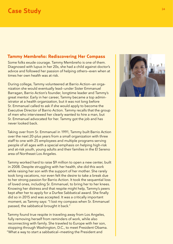## **Case Study**

## **Tammy Membreño: Rediscovering Her Compass**

Some folks exude courage. Tammy Membreño is one of them. Diagnosed with lupus in her 20s, she had a child against doctor's advice and followed her passion of helping others—even when at times her own health was at risk.

During college, Tammy volunteered at Barrio Action—an organization she would eventually lead—under Sister Emmanuel Barragan, Barrio Action's founder, longtime leader and Tammy's great mentor. Early in her career, Tammy became a top administrator at a health organization, but it was not long before Sr. Emmanuel called to ask if she would apply to become the Executive Director of Barrio Action. Tammy recalls that the group of men who interviewed her clearly wanted to hire a man, but Sr. Emmanuel advocated for her. Tammy got the job and has never looked back.

Taking over from Sr. Emmanuel in 1991, Tammy built Barrio Action over the next 20-plus years from a small organization with three staff to one with 25 employees and multiple programs serving people of all ages with a special emphasis on helping high-risk and at-risk youth, young adults and their families in the El Sereno area of Northeast Los Angeles.

Tammy worked hard to raise \$9 million to open a new center, built in 2008. Despite struggling with her health, she did this work while raising her son with the support of her mother. She rarely took long vacations, nor even felt the desire to take a break due to her strong passion for Barrio Action. It took the sequential loss of loved ones, including Sr. Emmanuel, to bring her to her knees. Knowing her distress and that respite might help, Tammy's peers kept after her to apply for a Durfee Sabbatical award. She finally did so in 2015 and was accepted. It was a critically important moment, as Tammy says: "I lost my compass when Sr. Emmanuel passed, the sabbatical brought it back."

Tammy found true respite in traveling away from Los Angeles, fully removing herself from reminders of work, while also reconnecting with family. She traveled to Europe with her son, stopping through Washington, D.C., to meet President Obama. "What a way to start a sabbatical—meeting the President and

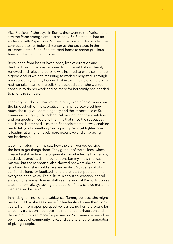Vice President," she says. In Rome, they went to the Vatican and saw the Pope emerge onto his balcony. Sr. Emmanuel had an audience with Pope John Paul years before, and Tammy felt the connection to her beloved mentor as she too stood in the presence of the Pope. She returned home to spend precious time with her family and to rest.

Recovering from loss of loved ones, loss of direction and declined health, Tammy returned from the sabbatical deeply renewed and rejuvenated. She was inspired to exercise and lost a good deal of weight, returning to work reenergized. Through her sabbatical, Tammy learned that in taking care of others, she had not taken care of herself. She decided that if she wanted to continue to do her work and be there for her family, she needed to prioritize self-care.

Learning that she still had more to give, even after 25 years, was the biggest gift of the sabbatical. Tammy rediscovered how much she truly valued the agency and the importance of Sr. Emmanuel's legacy. The sabbatical brought her new confidence and perspective. People tell Tammy that since the sabbatical, she listens better and is calmer. She feels the time away enabled her to let go of something "and open up"—to get lighter. She is leading at a higher level, more expansive and embracing in her leadership.

Upon her return, Tammy saw how the staff worked outside the box to get things done. They got out of their siloes, which created a shift in how the organization worked—one that Tammy studied, appreciated, and built upon. Tammy knew she was missed, but the sabbatical also showed her what she could let go of and how she could share leadership. Now, she solicits staff and clients for feedback, and there is an expectation that everyone has a voice. The culture is about co-creation, not reliance on one leader. Newer staff see the work at Barrio Action as a team effort, always asking the question, "how can we make the Center even better?"

In hindsight, if not for the sabbatical, Tammy believes she might have quit. Now she sees herself in leadership for another 5 or 7 years. Her more open perspective is allowing her to prepare for a healthy transition, not leave in a moment of exhaustion and despair, but to plan more for passing on Sr. Emmanuel's—and her own—legacy of community, love, and care to another generation of giving people.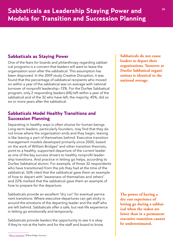## **Sabbaticals as Staying Power**

One of the fears for boards and philanthropy regarding sabbatical programs is a concern that leaders will want to leave the organization soon after the sabbatical. This assumption has been disproved. In the 2009 study *Creative Disruption*, it was found that the percentage of sabbatical recipients who moved on within a year of the sabbatical was on average with national turnover of nonprofit leadership—13%. For the Durfee Sabbatical program, only 2 responding leaders (6%) left within a year of the sabbatical and of the 32 who have left, the majority, 45%, did so six or more years after the sabbatical.

## **Sabbaticals Model Healthy Transitions and Succession Planning**

Separating in healthy ways is often elusive for human beings. Long-term leaders, particularly founders, may find that they do not know where the organization ends and they begin; leaving is like leaving a part of themselves behind. Executive transition management models developed primarily since 2000, based on the work of William Bridges<sup>9</sup> and other transition theorists, point to a healthy, supported departure of the current leader as one of the key success drivers to healthy nonprofit leadership transitions. And practice in letting go helps, according to Durfee Sabbatical alumni. For example, of those 32 respondents who have transitioned from the job they had at the time of the sabbatical, 56% cited that the sabbatical gave them an example of how to depart with "awareness of themselves and others" and 22% marked that the sabbatical gave them an example of how to prepare for the departure.

Sabbaticals provide an excellent "dry run" for eventual permanent transitions. Where executive departures can get sticky is around the emotions of the departing leader and the staff who are left behind. Sabbaticals offer a safe, but real-life experience in letting go emotionally and temporarily.

Sabbaticals provide leaders the opportunity to see it is okay if they're not at the helm and for the staff and board to know **Sabbaticals do not cause leaders to depart their organizations. Turnover at Durfee Sabbatical organizations is identical to the national average.**

**The power of having a dry run experience of letting go during a sabbatical when the stakes are lower than in a permanent executive transition cannot be underestimated.**

<sup>&</sup>lt;sup>9</sup> [What is Transition?,](https://wmbridges.com/what-is-transition) William Bridges Associates.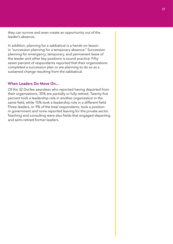they can survive and even create an opportunity out of the leader's absence.

In addition, planning for a sabbatical is a hands-on lesson in "succession planning for a temporary absence." Succession planning for emergency, temporary, and permanent leave of the leader and other key positions is sound practice. Fiftyseven percent of respondents reported that their organizations completed a succession plan or are planning to do so as a sustained change resulting from the sabbatical.

#### When Leaders Do Move On…

Of the 32 Durfee awardees who reported having departed from their organizations, 35% are partially or fully retired. Twenty-five percent took a leadership role in another organization in the same field, while 15% took a leadership role in a different field. Three leaders, or 9% of the total respondents, took a position in government and none reported leaving for the private sector. Teaching and consulting were also fields that engaged departing and semi-retired former leaders.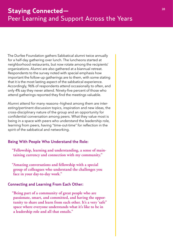The Durfee Foundation gathers Sabbatical alumni twice annually for a half-day gathering over lunch. The luncheons started at neighborhood restaurants, but now rotate among the recipients' organizations. Alumni are also gathered at a biannual retreat. Respondents to the survey noted with special emphasis how important the follow-up gatherings are to them, with some stating that it is the most lasting aspect of the sabbatical experience. Accordingly, 96% of respondents attend occasionally to often, and only 4% say they never attend. Ninety-five percent of those who attend gatherings reported they find the meetings valuable.

Alumni attend for many reasons—highest among them are interesting/pertinent discussion topics, inspiration and new ideas, the cross-disciplinary nature of the group and an opportunity for confidential conversation among peers. What they value most is being in a space with peers who understand the leadership role, learning from peers, having "time-out-time" for reflection in the spirit of the sabbatical and networking.

#### Being With People Who Understand the Role:

- **"Fellowship, learning and understanding, a sense of maintaining currency and connection with my community."**
- **"Amazing conversations and fellowship with a special group of colleagues who understand the challenges you face in your day-to-day work."**

#### Connecting and Learning From Each Other:

**"Being part of a community of great people who are passionate, smart, and committed, and having the opportunity to share and learn from each other. It's a very 'safe" space where everyone understands what it's like to be in a leadership role and all that entails."**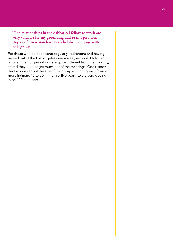**"The relationships in the Sabbatical fellow network are very valuable for my grounding and re-invigoration. Topics of discussion have been helpful to engage with this group."**

For those who do not attend regularly, retirement and having moved out of the Los Angeles area are key reasons. Only two, who felt their organizations are quite different from the majority, stated they did not get much out of the meetings. One respondent worries about the size of the group as it has grown from a more intimate 18 to 30 in the first five years, to a group closing in on 100 members.